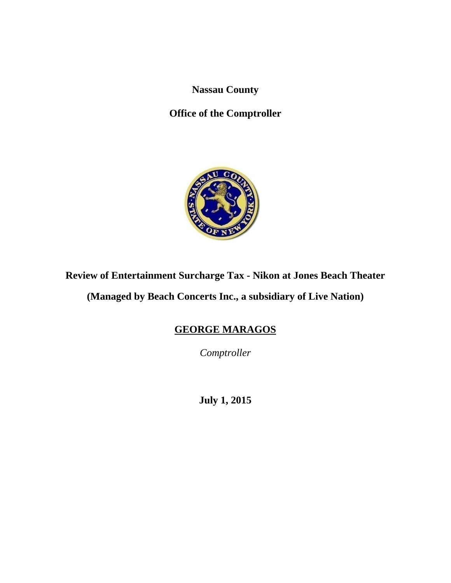**Nassau County** 

**Office of the Comptroller** 



# **Review of Entertainment Surcharge Tax - Nikon at Jones Beach Theater**

**(Managed by Beach Concerts Inc., a subsidiary of Live Nation)** 

# **GEORGE MARAGOS**

*Comptroller* 

**July 1, 2015**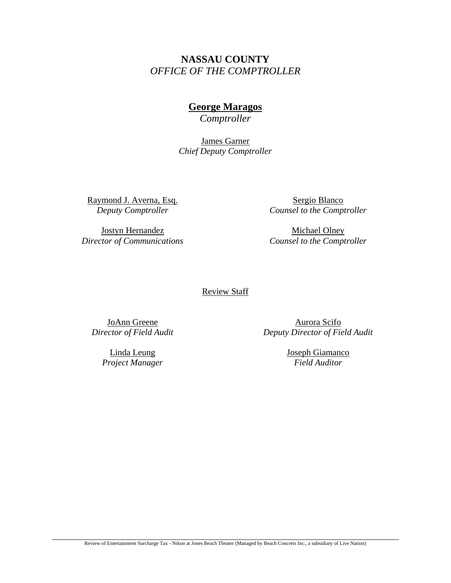# **NASSAU COUNTY**  *OFFICE OF THE COMPTROLLER*

# **George Maragos**

*Comptroller* 

James Garner *Chief Deputy Comptroller*

Raymond J. Averna, Esq. *Deputy Comptroller* 

Jostyn Hernandez *Director of Communications* 

Sergio Blanco *Counsel to the Comptroller* 

Michael Olney *Counsel to the Comptroller* 

#### Review Staff

JoAnn Greene *Director of Field Audit* 

> Linda Leung *Project Manager*

Aurora Scifo *Deputy Director of Field Audit* 

> Joseph Giamanco *Field Auditor*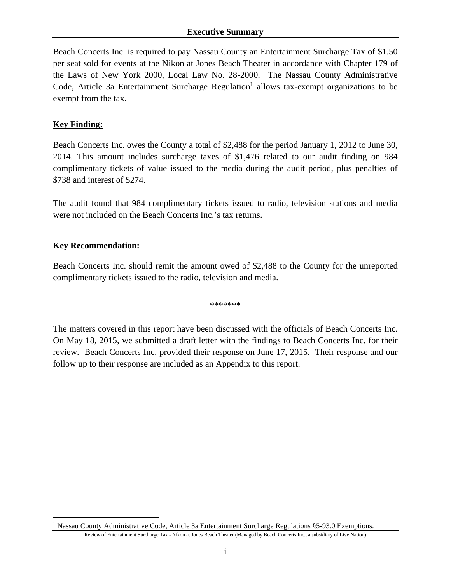Beach Concerts Inc. is required to pay Nassau County an Entertainment Surcharge Tax of \$1.50 per seat sold for events at the Nikon at Jones Beach Theater in accordance with Chapter 179 of the Laws of New York 2000, Local Law No. 28-2000. The Nassau County Administrative Code, Article 3a Entertainment Surcharge Regulation<sup>1</sup> allows tax-exempt organizations to be exempt from the tax.

# **Key Finding:**

Beach Concerts Inc. owes the County a total of \$2,488 for the period January 1, 2012 to June 30, 2014. This amount includes surcharge taxes of \$1,476 related to our audit finding on 984 complimentary tickets of value issued to the media during the audit period, plus penalties of \$738 and interest of \$274.

The audit found that 984 complimentary tickets issued to radio, television stations and media were not included on the Beach Concerts Inc.'s tax returns.

# **Key Recommendation:**

 $\overline{a}$ 

Beach Concerts Inc. should remit the amount owed of \$2,488 to the County for the unreported complimentary tickets issued to the radio, television and media.

\*\*\*\*\*\*\*

The matters covered in this report have been discussed with the officials of Beach Concerts Inc. On May 18, 2015, we submitted a draft letter with the findings to Beach Concerts Inc. for their review. Beach Concerts Inc. provided their response on June 17, 2015. Their response and our follow up to their response are included as an Appendix to this report.

<sup>&</sup>lt;sup>1</sup> Nassau County Administrative Code, Article 3a Entertainment Surcharge Regulations §5-93.0 Exemptions.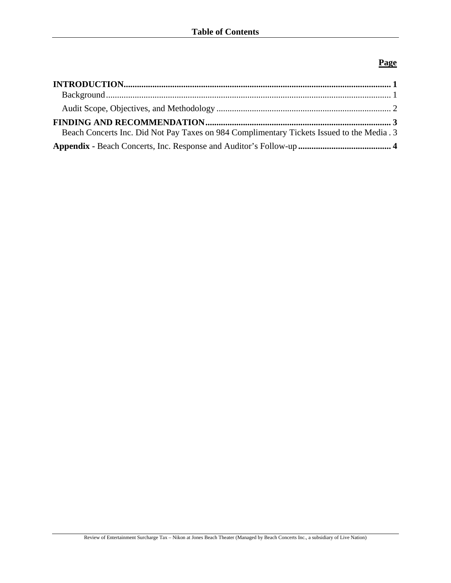## **Page**

| Beach Concerts Inc. Did Not Pay Taxes on 984 Complimentary Tickets Issued to the Media . 3 |  |
|--------------------------------------------------------------------------------------------|--|
|                                                                                            |  |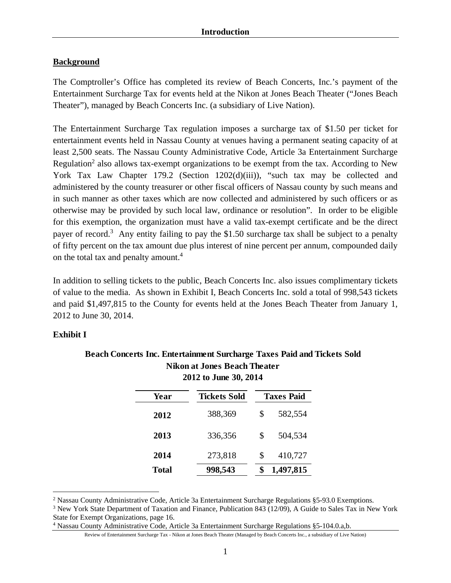#### **Background**

The Comptroller's Office has completed its review of Beach Concerts, Inc.'s payment of the Entertainment Surcharge Tax for events held at the Nikon at Jones Beach Theater ("Jones Beach Theater"), managed by Beach Concerts Inc. (a subsidiary of Live Nation).

The Entertainment Surcharge Tax regulation imposes a surcharge tax of \$1.50 per ticket for entertainment events held in Nassau County at venues having a permanent seating capacity of at least 2,500 seats. The Nassau County Administrative Code, Article 3a Entertainment Surcharge Regulation<sup>2</sup> also allows tax-exempt organizations to be exempt from the tax. According to New York Tax Law Chapter 179.2 (Section 1202(d)(iii)), "such tax may be collected and administered by the county treasurer or other fiscal officers of Nassau county by such means and in such manner as other taxes which are now collected and administered by such officers or as otherwise may be provided by such local law, ordinance or resolution". In order to be eligible for this exemption, the organization must have a valid tax-exempt certificate and be the direct payer of record.<sup>3</sup> Any entity failing to pay the \$1.50 surcharge tax shall be subject to a penalty of fifty percent on the tax amount due plus interest of nine percent per annum, compounded daily on the total tax and penalty amount.<sup>4</sup>

In addition to selling tickets to the public, Beach Concerts Inc. also issues complimentary tickets of value to the media. As shown in Exhibit I, Beach Concerts Inc. sold a total of 998,543 tickets and paid \$1,497,815 to the County for events held at the Jones Beach Theater from January 1, 2012 to June 30, 2014.

#### **Exhibit I**

<u>.</u>

| Year         | <b>Tickets Sold</b> | <b>Taxes Paid</b> |           |  |
|--------------|---------------------|-------------------|-----------|--|
| 2012         | 388,369             | \$                | 582,554   |  |
| 2013         | 336,356             | \$                | 504,534   |  |
| 2014         | 273,818             | \$                | 410,727   |  |
| <b>Total</b> | 998,543             |                   | 1,497,815 |  |

#### **Beach Concerts Inc. Entertainment Surcharge Taxes Paid and Tickets Sold Nikon at Jones Beach Theater 2012 to June 30, 2014**

<sup>&</sup>lt;sup>2</sup> Nassau County Administrative Code, Article 3a Entertainment Surcharge Regulations §5-93.0 Exemptions.

<sup>&</sup>lt;sup>3</sup> New York State Department of Taxation and Finance, Publication 843 (12/09), A Guide to Sales Tax in New York State for Exempt Organizations, page 16.

<sup>4</sup> Nassau County Administrative Code, Article 3a Entertainment Surcharge Regulations §5-104.0.a,b.

Review of Entertainment Surcharge Tax - Nikon at Jones Beach Theater (Managed by Beach Concerts Inc., a subsidiary of Live Nation)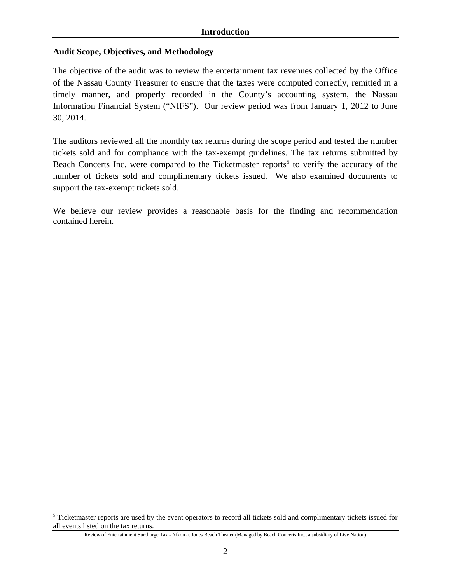#### **Audit Scope, Objectives, and Methodology**

 $\overline{a}$ 

The objective of the audit was to review the entertainment tax revenues collected by the Office of the Nassau County Treasurer to ensure that the taxes were computed correctly, remitted in a timely manner, and properly recorded in the County's accounting system, the Nassau Information Financial System ("NIFS"). Our review period was from January 1, 2012 to June 30, 2014.

The auditors reviewed all the monthly tax returns during the scope period and tested the number tickets sold and for compliance with the tax-exempt guidelines. The tax returns submitted by Beach Concerts Inc. were compared to the Ticketmaster reports<sup>5</sup> to verify the accuracy of the number of tickets sold and complimentary tickets issued. We also examined documents to support the tax-exempt tickets sold.

We believe our review provides a reasonable basis for the finding and recommendation contained herein.

<sup>&</sup>lt;sup>5</sup> Ticketmaster reports are used by the event operators to record all tickets sold and complimentary tickets issued for all events listed on the tax returns.

Review of Entertainment Surcharge Tax - Nikon at Jones Beach Theater (Managed by Beach Concerts Inc., a subsidiary of Live Nation)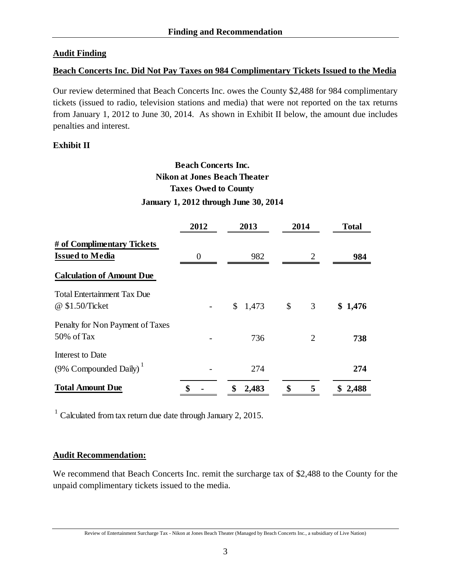## **Audit Finding**

#### **Beach Concerts Inc. Did Not Pay Taxes on 984 Complimentary Tickets Issued to the Media**

Our review determined that Beach Concerts Inc. owes the County \$2,488 for 984 complimentary tickets (issued to radio, television stations and media) that were not reported on the tax returns from January 1, 2012 to June 30, 2014. As shown in Exhibit II below, the amount due includes penalties and interest.

## **Exhibit II**

# **Beach Concerts Inc. Taxes Owed to County January 1, 2012 through June 30, 2014 Nikon at Jones Beach Theater**

|                                    | 2012 | 2013        | 2014                        | <b>Total</b> |
|------------------------------------|------|-------------|-----------------------------|--------------|
| # of Complimentary Tickets         |      |             |                             |              |
| <b>Issued to Media</b>             | 0    | 982         | $\mathcal{D}_{\mathcal{L}}$ | 984          |
| <b>Calculation of Amount Due</b>   |      |             |                             |              |
| <b>Total Entertainment Tax Due</b> |      |             |                             |              |
| @ \$1.50/Ticket                    |      | \$1,473     | $\mathcal{S}$<br>3          | \$1,476      |
| Penalty for Non Payment of Taxes   |      |             |                             |              |
| 50% of Tax                         |      | 736         | 2                           | 738          |
| Interest to Date                   |      |             |                             |              |
| (9% Compounded Daily) <sup>1</sup> |      | 274         |                             | 274          |
| <b>Total Amount Due</b>            |      | \$<br>2,483 | \$<br>5                     | \$2,488      |

 $1$  Calculated from tax return due date through January 2, 2015.

#### **Audit Recommendation:**

We recommend that Beach Concerts Inc. remit the surcharge tax of \$2,488 to the County for the unpaid complimentary tickets issued to the media.

Review of Entertainment Surcharge Tax - Nikon at Jones Beach Theater (Managed by Beach Concerts Inc., a subsidiary of Live Nation)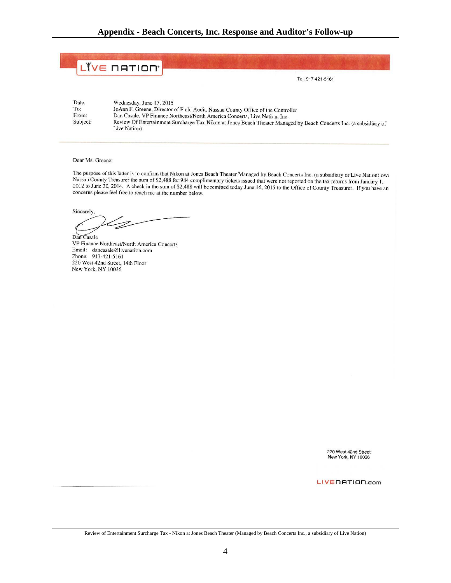|          | LIVE NATION'                                                                                                                       |
|----------|------------------------------------------------------------------------------------------------------------------------------------|
|          | Tel. 917-421-5161                                                                                                                  |
| Date:    | Wednesday, June 17, 2015                                                                                                           |
| To:      | JoAnn F. Greene, Director of Field Audit, Nassau County Office of the Controller                                                   |
| From:    | Dan Casale, VP Finance Northeast/North America Concerts, Live Nation, Inc.                                                         |
| Subject: | Review Of Entertainment Surcharge Tax-Nikon at Jones Beach Theater Managed by Beach Concerts Inc. (a subsidiary of<br>Live Nation) |

Dear Ms. Greene:

The purpose of this letter is to confirm that Nikon at Jones Beach Theater Managed by Beach Concerts Inc. (a subsidiary or Live Nation) owe Nassau County Treasurer the sum of \$2,488 for 984 complimentary tickets issued that were not reported on the tax returns from January 1, 2012 to June 30, 2014. A check in the sum of \$2,488 will be remitted today June 16, 2015 to the Office of County Treasurer. If you have an concerns please feel free to reach me at the number below.

Sincerely,

D

Dan Casale VP Finance Northeast/North America Concerts Email: dancasale@livenation.com Phone: 917-421-5161 220 West 42nd Street, 14th Floor New York, NY 10036

220 West 42nd Street<br>New York, NY 10036

LIVENATION.com